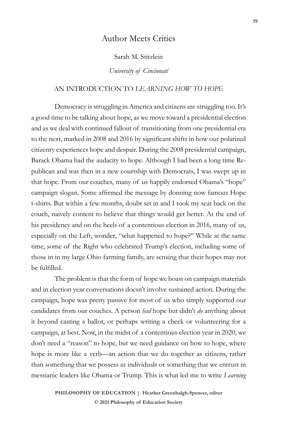# Author Meets Critics

Sarah M. Stitzlein

*University of Cincinnati* 

## AN INTRODUCTION TO *LEARNING HOW TO HOPE*

Democracy is struggling in America and citizens are struggling too. It's a good time to be talking about hope, as we move toward a presidential election and as we deal with continued fallout of transitioning from one presidential era to the next, marked in 2008 and 2016 by significant shifts in how our polarized citizenry experiences hope and despair. During the 2008 presidential campaign, Barack Obama had the audacity to hope. Although I had been a long time Republican and was then in a new courtship with Democrats, I was swept up in that hope. From our couches, many of us happily endorsed Obama's "hope" campaign slogan. Some affirmed the message by donning now famous Hope t-shirts. But within a few months, doubt set in and I took my seat back on the couch, naively content to believe that things would get better. At the end of his presidency and on the heels of a contentious election in 2016, many of us, especially on the Left, wonder, "what happened to hope?" While at the same time, some of the Right who celebrated Trump's election, including some of those in in my large Ohio farming family, are sensing that their hopes may not be fulfilled.

The problem is that the form of hope we boast on campaign materials and in election year conversations doesn't involve sustained action. During the campaign, hope was pretty passive for most of us who simply supported our candidates from our couches. A person *had* hope but didn't *do* anything about it beyond casting a ballot, or perhaps writing a check or volunteering for a campaign, at best. Now, in the midst of a contentious election year in 2020, we don't need a "reason" to hope, but we need guidance on how to hope, where hope is more like a verb—an action that we do together as citizens, rather than something that we possess as individuals or something that we entrust in messianic leaders like Obama or Trump. This is what led me to write *Learning*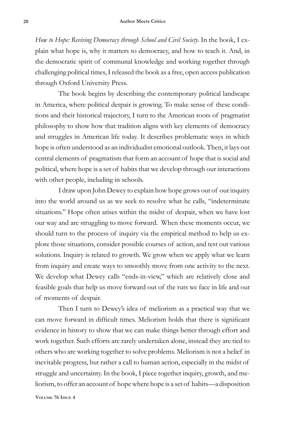*How to Hope: Reviving Democracy through School and Civil Society.* In the book, I explain what hope is, why it matters to democracy, and how to teach it. And, in the democratic spirit of communal knowledge and working together through challenging political times, I released the book as a free, open access publication through Oxford University Press.

The book begins by describing the contemporary political landscape in America, where political despair is growing. To make sense of these conditions and their historical trajectory, I turn to the American roots of pragmatist philosophy to show how that tradition aligns with key elements of democracy and struggles in American life today. It describes problematic ways in which hope is often understood as an individualist emotional outlook. Then, it lays out central elements of pragmatism that form an account of hope that is social and political, where hope is a set of habits that we develop through our interactions with other people, including in schools.

I draw upon John Dewey to explain how hope grows out of our inquiry into the world around us as we seek to resolve what he calls, "indeterminate situations." Hope often arises within the midst of despair, when we have lost our way and are struggling to move forward. When these moments occur, we should turn to the process of inquiry via the empirical method to help us explore those situations, consider possible courses of action, and test out various solutions. Inquiry is related to growth. We grow when we apply what we learn from inquiry and create ways to smoothly move from one activity to the next. We develop what Dewey calls "ends-in-view," which are relatively close and feasible goals that help us move forward out of the ruts we face in life and out of moments of despair.

Then I turn to Dewey's idea of meliorism as a practical way that we can move forward in difficult times. Meliorism holds that there is significant evidence in history to show that we can make things better through effort and work together. Such efforts are rarely undertaken alone, instead they are tied to others who are working together to solve problems. Meliorism is not a belief in inevitable progress, but rather a call to human action, especially in the midst of struggle and uncertainty. In the book, I piece together inquiry, growth, and meliorism, to offer an account of hope where hope is a set of habits—a disposition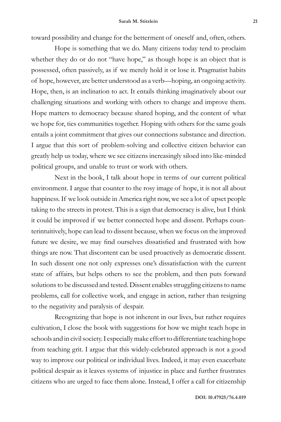toward possibility and change for the betterment of oneself and, often, others.

Hope is something that we do. Many citizens today tend to proclaim whether they do or do not "have hope," as though hope is an object that is possessed, often passively, as if we merely hold it or lose it. Pragmatist habits of hope, however, are better understood as a verb—hoping, an ongoing activity. Hope, then, is an inclination to act. It entails thinking imaginatively about our challenging situations and working with others to change and improve them. Hope matters to democracy because shared hoping, and the content of what we hope for, ties communities together. Hoping with others for the same goals entails a joint commitment that gives our connections substance and direction. I argue that this sort of problem-solving and collective citizen behavior can greatly help us today, where we see citizens increasingly siloed into like-minded political groups, and unable to trust or work with others.

Next in the book, I talk about hope in terms of our current political environment. I argue that counter to the rosy image of hope, it is not all about happiness. If we look outside in America right now, we see a lot of upset people taking to the streets in protest. This is a sign that democracy is alive, but I think it could be improved if we better connected hope and dissent. Perhaps counterintuitively, hope can lead to dissent because, when we focus on the improved future we desire, we may find ourselves dissatisfied and frustrated with how things are now. That discontent can be used proactively as democratic dissent. In such dissent one not only expresses one's dissatisfaction with the current state of affairs, but helps others to see the problem, and then puts forward solutions to be discussed and tested. Dissent enables struggling citizens to name problems, call for collective work, and engage in action, rather than resigning to the negativity and paralysis of despair.

Recognizing that hope is not inherent in our lives, but rather requires cultivation, I close the book with suggestions for how we might teach hope in schools and in civil society. I especially make effort to differentiate teaching hope from teaching grit. I argue that this widely-celebrated approach is not a good way to improve our political or individual lives. Indeed, it may even exacerbate political despair as it leaves systems of injustice in place and further frustrates citizens who are urged to face them alone. Instead, I offer a call for citizenship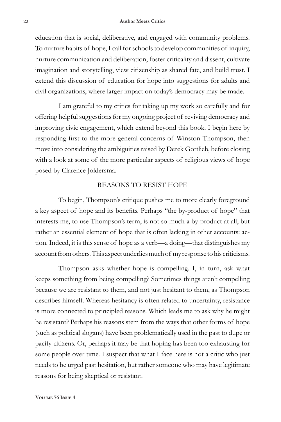education that is social, deliberative, and engaged with community problems. To nurture habits of hope, I call for schools to develop communities of inquiry, nurture communication and deliberation, foster criticality and dissent, cultivate imagination and storytelling, view citizenship as shared fate, and build trust. I extend this discussion of education for hope into suggestions for adults and civil organizations, where larger impact on today's democracy may be made.

I am grateful to my critics for taking up my work so carefully and for offering helpful suggestions for my ongoing project of reviving democracy and improving civic engagement, which extend beyond this book. I begin here by responding first to the more general concerns of Winston Thompson, then move into considering the ambiguities raised by Derek Gottlieb, before closing with a look at some of the more particular aspects of religious views of hope posed by Clarence Joldersma.

#### REASONS TO RESIST HOPE

To begin, Thompson's critique pushes me to more clearly foreground a key aspect of hope and its benefits. Perhaps "the by-product of hope" that interests me, to use Thompson's term, is not so much a by-product at all, but rather an essential element of hope that is often lacking in other accounts: action. Indeed, it is this sense of hope as a verb—a doing—that distinguishes my account from others. This aspect underlies much of my response to his criticisms.

Thompson asks whether hope is compelling. I, in turn, ask what keeps something from being compelling? Sometimes things aren't compelling because we are resistant to them, and not just hesitant to them, as Thompson describes himself. Whereas hesitancy is often related to uncertainty, resistance is more connected to principled reasons. Which leads me to ask why he might be resistant? Perhaps his reasons stem from the ways that other forms of hope (such as political slogans) have been problematically used in the past to dupe or pacify citizens. Or, perhaps it may be that hoping has been too exhausting for some people over time. I suspect that what I face here is not a critic who just needs to be urged past hesitation, but rather someone who may have legitimate reasons for being skeptical or resistant.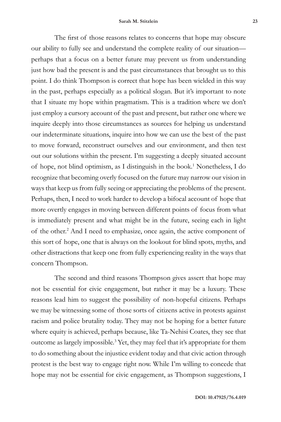The first of those reasons relates to concerns that hope may obscure our ability to fully see and understand the complete reality of our situation perhaps that a focus on a better future may prevent us from understanding just how bad the present is and the past circumstances that brought us to this point. I do think Thompson is correct that hope has been wielded in this way in the past, perhaps especially as a political slogan. But it's important to note that I situate my hope within pragmatism. This is a tradition where we don't just employ a cursory account of the past and present, but rather one where we inquire deeply into those circumstances as sources for helping us understand our indeterminate situations, inquire into how we can use the best of the past to move forward, reconstruct ourselves and our environment, and then test out our solutions within the present. I'm suggesting a deeply situated account of hope, not blind optimism, as I distinguish in the book.<sup>1</sup> Nonetheless, I do recognize that becoming overly focused on the future may narrow our vision in ways that keep us from fully seeing or appreciating the problems of the present. Perhaps, then, I need to work harder to develop a bifocal account of hope that more overtly engages in moving between different points of focus from what is immediately present and what might be in the future, seeing each in light of the other.<sup>2</sup> And I need to emphasize, once again, the active component of this sort of hope, one that is always on the lookout for blind spots, myths, and other distractions that keep one from fully experiencing reality in the ways that concern Thompson.

The second and third reasons Thompson gives assert that hope may not be essential for civic engagement, but rather it may be a luxury. These reasons lead him to suggest the possibility of non-hopeful citizens. Perhaps we may be witnessing some of those sorts of citizens active in protests against racism and police brutality today. They may not be hoping for a better future where equity is achieved, perhaps because, like Ta-Nehisi Coates, they see that outcome as largely impossible.<sup>3</sup> Yet, they may feel that it's appropriate for them to do something about the injustice evident today and that civic action through protest is the best way to engage right now. While I'm willing to concede that hope may not be essential for civic engagement, as Thompson suggestions, I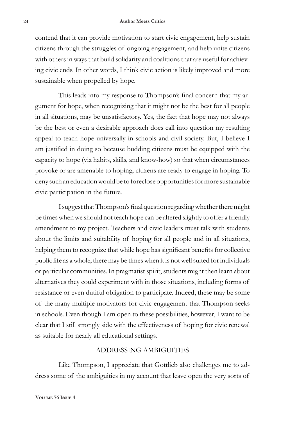contend that it can provide motivation to start civic engagement, help sustain citizens through the struggles of ongoing engagement, and help unite citizens with others in ways that build solidarity and coalitions that are useful for achieving civic ends. In other words, I think civic action is likely improved and more sustainable when propelled by hope.

This leads into my response to Thompson's final concern that my argument for hope, when recognizing that it might not be the best for all people in all situations, may be unsatisfactory. Yes, the fact that hope may not always be the best or even a desirable approach does call into question my resulting appeal to teach hope universally in schools and civil society. But, I believe I am justified in doing so because budding citizens must be equipped with the capacity to hope (via habits, skills, and know-how) so that when circumstances provoke or are amenable to hoping, citizens are ready to engage in hoping. To deny such an education would be to foreclose opportunities for more sustainable civic participation in the future.

I suggest that Thompson's final question regarding whether there might be times when we should not teach hope can be altered slightly to offer a friendly amendment to my project. Teachers and civic leaders must talk with students about the limits and suitability of hoping for all people and in all situations, helping them to recognize that while hope has significant benefits for collective public life as a whole, there may be times when it is not well suited for individuals or particular communities. In pragmatist spirit, students might then learn about alternatives they could experiment with in those situations, including forms of resistance or even dutiful obligation to participate. Indeed, these may be some of the many multiple motivators for civic engagement that Thompson seeks in schools. Even though I am open to these possibilities, however, I want to be clear that I still strongly side with the effectiveness of hoping for civic renewal as suitable for nearly all educational settings.

#### ADDRESSING AMBIGUITIES

Like Thompson, I appreciate that Gottlieb also challenges me to address some of the ambiguities in my account that leave open the very sorts of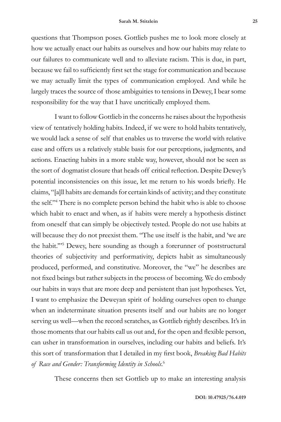questions that Thompson poses. Gottlieb pushes me to look more closely at how we actually enact our habits as ourselves and how our habits may relate to our failures to communicate well and to alleviate racism. This is due, in part, because we fail to sufficiently first set the stage for communication and because we may actually limit the types of communication employed. And while he largely traces the source of those ambiguities to tensions in Dewey, I bear some responsibility for the way that I have uncritically employed them.

I want to follow Gottlieb in the concerns he raises about the hypothesis view of tentatively holding habits. Indeed, if we were to hold habits tentatively, we would lack a sense of self that enables us to traverse the world with relative ease and offers us a relatively stable basis for our perceptions, judgments, and actions. Enacting habits in a more stable way, however, should not be seen as the sort of dogmatist closure that heads off critical reflection. Despite Dewey's potential inconsistencies on this issue, let me return to his words briefly. He claims, "[a]ll habits are demands for certain kinds of activity; and they constitute the self."4 There is no complete person behind the habit who is able to choose which habit to enact and when, as if habits were merely a hypothesis distinct from oneself that can simply be objectively tested. People do not use habits at will because they do not preexist them. "The use itself is the habit, and 'we are the habit.'"5 Dewey, here sounding as though a forerunner of poststructural theories of subjectivity and performativity, depicts habit as simultaneously produced, performed, and constitutive. Moreover, the "we" he describes are not fixed beings but rather subjects in the process of becoming. We do embody our habits in ways that are more deep and persistent than just hypotheses. Yet, I want to emphasize the Deweyan spirit of holding ourselves open to change when an indeterminate situation presents itself and our habits are no longer serving us well—when the record scratches, as Gottlieb rightly describes. It's in those moments that our habits call us out and, for the open and flexible person, can usher in transformation in ourselves, including our habits and beliefs. It's this sort of transformation that I detailed in my first book, *Breaking Bad Habits of Race and Gender: Transforming Identity in Schools*. 6

These concerns then set Gottlieb up to make an interesting analysis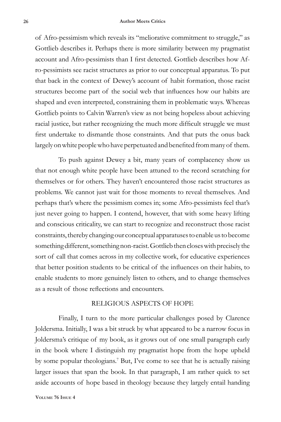#### **26 Author Meets Critics**

of Afro-pessimism which reveals its "meliorative commitment to struggle," as Gottlieb describes it. Perhaps there is more similarity between my pragmatist account and Afro-pessimists than I first detected. Gottlieb describes how Afro-pessimists see racist structures as prior to our conceptual apparatus. To put that back in the context of Dewey's account of habit formation, those racist structures become part of the social web that influences how our habits are shaped and even interpreted, constraining them in problematic ways. Whereas Gottlieb points to Calvin Warren's view as not being hopeless about achieving racial justice, but rather recognizing the much more difficult struggle we must first undertake to dismantle those constraints. And that puts the onus back largely on white people who have perpetuated and benefited from many of them.

To push against Dewey a bit, many years of complacency show us that not enough white people have been attuned to the record scratching for themselves or for others. They haven't encountered those racist structures as problems. We cannot just wait for those moments to reveal themselves. And perhaps that's where the pessimism comes in; some Afro-pessimists feel that's just never going to happen. I contend, however, that with some heavy lifting and conscious criticality, we can start to recognize and reconstruct those racist constraints, thereby changing our conceptual apparatuses to enable us to become something different, something non-racist. Gottlieb then closes with precisely the sort of call that comes across in my collective work, for educative experiences that better position students to be critical of the influences on their habits, to enable students to more genuinely listen to others, and to change themselves as a result of those reflections and encounters.

### RELIGIOUS ASPECTS OF HOPE

Finally, I turn to the more particular challenges posed by Clarence Joldersma. Initially, I was a bit struck by what appeared to be a narrow focus in Joldersma's critique of my book, as it grows out of one small paragraph early in the book where I distinguish my pragmatist hope from the hope upheld by some popular theologians.7 But, I've come to see that he is actually raising larger issues that span the book. In that paragraph, I am rather quick to set aside accounts of hope based in theology because they largely entail handing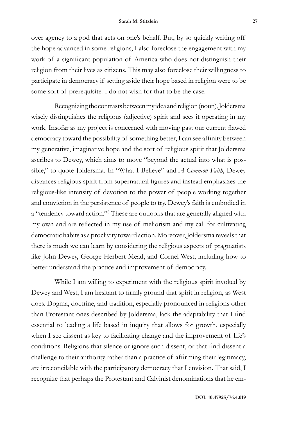over agency to a god that acts on one's behalf. But, by so quickly writing off the hope advanced in some religions, I also foreclose the engagement with my work of a significant population of America who does not distinguish their religion from their lives as citizens. This may also foreclose their willingness to participate in democracy if setting aside their hope based in religion were to be some sort of prerequisite. I do not wish for that to be the case.

Recognizing the contrasts between my idea and religion (noun), Joldersma wisely distinguishes the religious (adjective) spirit and sees it operating in my work. Insofar as my project is concerned with moving past our current flawed democracy toward the possibility of something better, I can see affinity between my generative, imaginative hope and the sort of religious spirit that Joldersma ascribes to Dewey, which aims to move "beyond the actual into what is possible," to quote Joldersma. In "What I Believe" and *A Common Faith*, Dewey distances religious spirit from supernatural figures and instead emphasizes the religious-like intensity of devotion to the power of people working together and conviction in the persistence of people to try. Dewey's faith is embodied in a "tendency toward action."8 These are outlooks that are generally aligned with my own and are reflected in my use of meliorism and my call for cultivating democratic habits as a proclivity toward action. Moreover, Joldersma reveals that there is much we can learn by considering the religious aspects of pragmatists like John Dewey, George Herbert Mead, and Cornel West, including how to better understand the practice and improvement of democracy.

While I am willing to experiment with the religious spirit invoked by Dewey and West, I am hesitant to firmly ground that spirit in religion, as West does. Dogma, doctrine, and tradition, especially pronounced in religions other than Protestant ones described by Joldersma, lack the adaptability that I find essential to leading a life based in inquiry that allows for growth, especially when I see dissent as key to facilitating change and the improvement of life's conditions. Religions that silence or ignore such dissent, or that find dissent a challenge to their authority rather than a practice of affirming their legitimacy, are irreconcilable with the participatory democracy that I envision. That said, I recognize that perhaps the Protestant and Calvinist denominations that he em-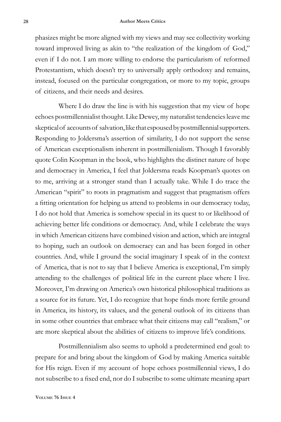phasizes might be more aligned with my views and may see collectivity working toward improved living as akin to "the realization of the kingdom of God," even if I do not. I am more willing to endorse the particularism of reformed Protestantism, which doesn't try to universally apply orthodoxy and remains, instead, focused on the particular congregation, or more to my topic, groups of citizens, and their needs and desires.

Where I do draw the line is with his suggestion that my view of hope echoes postmillennialist thought. Like Dewey, my naturalist tendencies leave me skeptical of accounts of salvation, like that espoused by postmillennial supporters. Responding to Joldersma's assertion of similarity, I do not support the sense of American exceptionalism inherent in postmillenialism. Though I favorably quote Colin Koopman in the book, who highlights the distinct nature of hope and democracy in America, I feel that Joldersma reads Koopman's quotes on to me, arriving at a stronger stand than I actually take. While I do trace the American "spirit" to roots in pragmatism and suggest that pragmatism offers a fitting orientation for helping us attend to problems in our democracy today, I do not hold that America is somehow special in its quest to or likelihood of achieving better life conditions or democracy. And, while I celebrate the ways in which American citizens have combined vision and action, which are integral to hoping, such an outlook on democracy can and has been forged in other countries. And, while I ground the social imaginary I speak of in the context of America, that is not to say that I believe America is exceptional, I'm simply attending to the challenges of political life in the current place where I live. Moreover, I'm drawing on America's own historical philosophical traditions as a source for its future. Yet, I do recognize that hope finds more fertile ground in America, its history, its values, and the general outlook of its citizens than in some other countries that embrace what their citizens may call "realism," or are more skeptical about the abilities of citizens to improve life's conditions.

Postmillennialism also seems to uphold a predetermined end goal: to prepare for and bring about the kingdom of God by making America suitable for His reign. Even if my account of hope echoes postmillennial views, I do not subscribe to a fixed end, nor do I subscribe to some ultimate meaning apart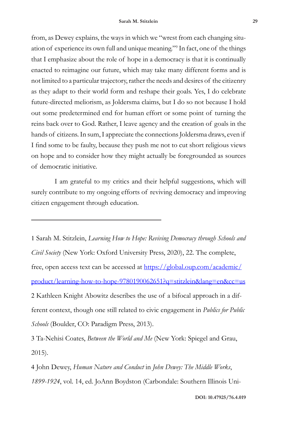from, as Dewey explains, the ways in which we "wrest from each changing situation of experience its own full and unique meaning."9 In fact, one of the things that I emphasize about the role of hope in a democracy is that it is continually enacted to reimagine our future, which may take many different forms and is not limited to a particular trajectory, rather the needs and desires of the citizenry as they adapt to their world form and reshape their goals. Yes, I do celebrate future-directed meliorism, as Joldersma claims, but I do so not because I hold out some predetermined end for human effort or some point of turning the reins back over to God. Rather, I leave agency and the creation of goals in the hands of citizens. In sum, I appreciate the connections Joldersma draws, even if I find some to be faulty, because they push me not to cut short religious views on hope and to consider how they might actually be foregrounded as sources of democratic initiative.

I am grateful to my critics and their helpful suggestions, which will surely contribute to my ongoing efforts of reviving democracy and improving citizen engagement through education.

1 Sarah M. Stitzlein, *Learning How to Hope: Reviving Democracy through Schools and Civil Society* (New York: Oxford University Press, 2020), 22. The complete, free, open access text can be accessed at https://global.oup.com/academic/ product/learning-how-to-hope-9780190062651?q=stitzlein&lang=en&cc=us 2 Kathleen Knight Abowitz describes the use of a bifocal approach in a different context, though one still related to civic engagement in *Publics for Public Schools* (Boulder, CO: Paradigm Press, 2013).

3 Ta-Nehisi Coates, *Between the World and Me* (New York: Spiegel and Grau, 2015).

4 John Dewey, *Human Nature and Conduct* in *John Dewey: The Middle Works*, *1899-1924*, vol. 14, ed. JoAnn Boydston (Carbondale: Southern Illinois Uni